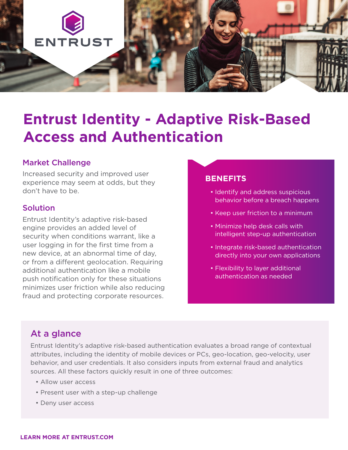

# **Entrust Identity - Adaptive Risk-Based Access and Authentication**

### Market Challenge

Increased security and improved user experience may seem at odds, but they don't have to be.

#### Solution

Entrust Identity's adaptive risk-based engine provides an added level of security when conditions warrant, like a user logging in for the first time from a new device, at an abnormal time of day, or from a different geolocation. Requiring additional authentication like a mobile push notification only for these situations minimizes user friction while also reducing fraud and protecting corporate resources.

#### **BENEFITS**

- Identify and address suspicious behavior before a breach happens
- Keep user friction to a minimum
- Minimize help desk calls with intelligent step-up authentication
- Integrate risk-based authentication directly into your own applications
- Flexibility to layer additional authentication as needed

## At a glance

Entrust Identity's adaptive risk-based authentication evaluates a broad range of contextual attributes, including the identity of mobile devices or PCs, geo-location, geo-velocity, user behavior, and user credentials. It also considers inputs from external fraud and analytics sources. All these factors quickly result in one of three outcomes:

- Allow user access
- Present user with a step-up challenge
- Deny user access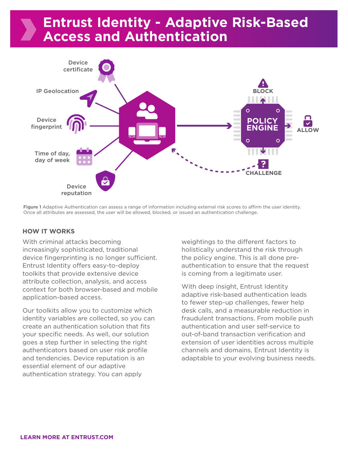## **Entrust Identity - Adaptive Risk-Based Access and Authentication**



Figure 1 Adaptive Authentication can assess a range of information including external risk scores to affirm the user identity. Once all attributes are assessed, the user will be allowed, blocked, or issued an authentication challenge.

#### **HOW IT WORKS**

With criminal attacks becoming increasingly sophisticated, traditional device fingerprinting is no longer sufficient. Entrust Identity offers easy-to-deploy toolkits that provide extensive device attribute collection, analysis, and access context for both browser-based and mobile application-based access.

Our toolkits allow you to customize which identity variables are collected, so you can create an authentication solution that fits your specific needs. As well, our solution goes a step further in selecting the right authenticators based on user risk profile and tendencies. Device reputation is an essential element of our adaptive authentication strategy. You can apply

weightings to the different factors to holistically understand the risk through the policy engine. This is all done preauthentication to ensure that the request is coming from a legitimate user.

With deep insight, Entrust Identity adaptive risk-based authentication leads to fewer step-up challenges, fewer help desk calls, and a measurable reduction in fraudulent transactions. From mobile push authentication and user self-service to out-of-band transaction verification and extension of user identities across multiple channels and domains, Entrust Identity is adaptable to your evolving business needs.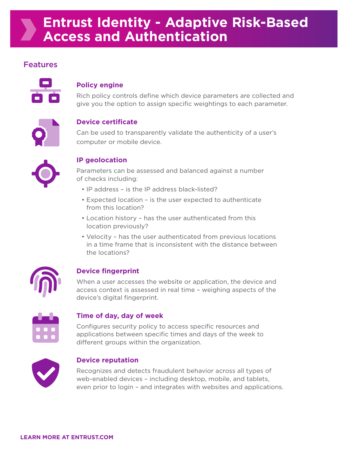## **Entrust Identity - Adaptive Risk-Based Access and Authentication**

## Features



#### **Policy engine**

Rich policy controls define which device parameters are collected and give you the option to assign specific weightings to each parameter.



#### **Device certificate**

Can be used to transparently validate the authenticity of a user's computer or mobile device.



#### **IP geolocation**

Parameters can be assessed and balanced against a number of checks including:

- IP address is the IP address black-listed?
- Expected location is the user expected to authenticate from this location?
- Location history has the user authenticated from this location previously?
- Velocity has the user authenticated from previous locations in a time frame that is inconsistent with the distance between the locations?



#### **Device fingerprint**

When a user accesses the website or application, the device and access context is assessed in real time – weighing aspects of the device's digital fingerprint.

#### **Time of day, day of week**

Configures security policy to access specific resources and applications between specific times and days of the week to different groups within the organization.



#### **Device reputation**

Recognizes and detects fraudulent behavior across all types of web-enabled devices – including desktop, mobile, and tablets, even prior to login – and integrates with websites and applications.